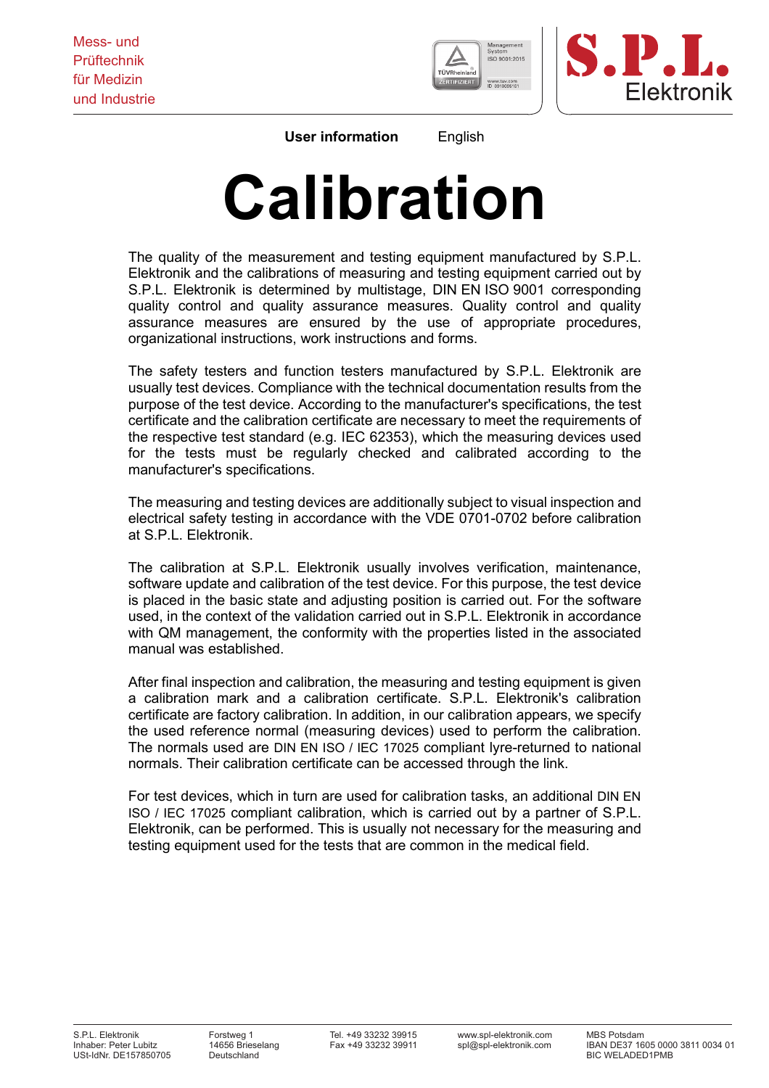



**User information** English

## **Calibration**

The quality of the measurement and testing equipment manufactured by S.P.L. Elektronik and the calibrations of measuring and testing equipment carried out by S.P.L. Elektronik is determined by multistage, DIN EN ISO 9001 corresponding quality control and quality assurance measures. Quality control and quality assurance measures are ensured by the use of appropriate procedures, organizational instructions, work instructions and forms.

The safety testers and function testers manufactured by S.P.L. Elektronik are usually test devices. Compliance with the technical documentation results from the purpose of the test device. According to the manufacturer's specifications, the test certificate and the calibration certificate are necessary to meet the requirements of the respective test standard (e.g. IEC 62353), which the measuring devices used for the tests must be regularly checked and calibrated according to the manufacturer's specifications.

The measuring and testing devices are additionally subject to visual inspection and electrical safety testing in accordance with the VDE 0701-0702 before calibration at S.P.L. Elektronik.

The calibration at S.P.L. Elektronik usually involves verification, maintenance, software update and calibration of the test device. For this purpose, the test device is placed in the basic state and adjusting position is carried out. For the software used, in the context of the validation carried out in S.P.L. Elektronik in accordance with QM management, the conformity with the properties listed in the associated manual was established.

After final inspection and calibration, the measuring and testing equipment is given a calibration mark and a calibration certificate. S.P.L. Elektronik's calibration certificate are factory calibration. In addition, in our calibration appears, we specify the used reference normal (measuring devices) used to perform the calibration. The normals used are DIN EN ISO / IEC 17025 compliant lyre-returned to national normals. Their calibration certificate can be accessed through the link.

For test devices, which in turn are used for calibration tasks, an additional DIN EN ISO / IEC 17025 compliant calibration, which is carried out by a partner of S.P.L. Elektronik, can be performed. This is usually not necessary for the measuring and testing equipment used for the tests that are common in the medical field.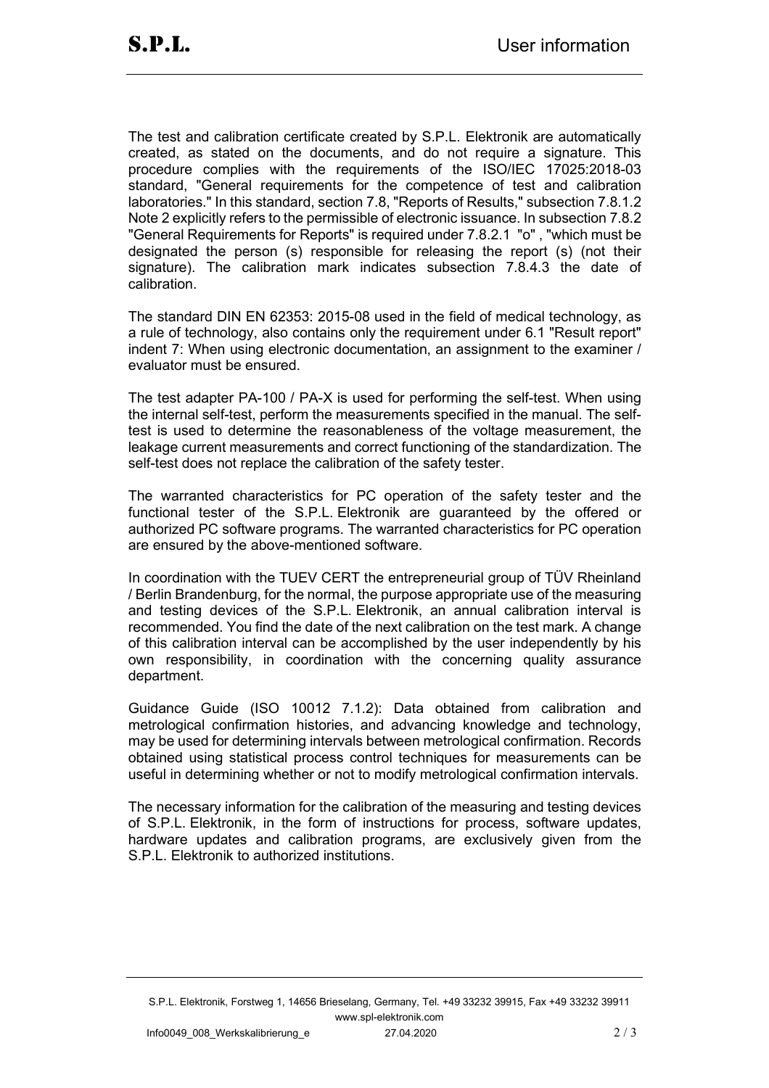The test and calibration certificate created by S.P.L. Elektronik are automatically created, as stated on the documents, and do not require a signature. This procedure complies with the requirements of the ISO/IEC 17025:2018-03 standard, "General requirements for the competence of test and calibration laboratories." In this standard, section 7.8, "Reports of Results," subsection 7.8.1.2 Note 2 explicitly refers to the permissible of electronic issuance. In subsection 7.8.2 "General Requirements for Reports" is required under 7.8.2.1 "o" , "which must be designated the person (s) responsible for releasing the report (s) (not their signature). The calibration mark indicates subsection 7.8.4.3 the date of calibration.

The standard DIN EN 62353: 2015-08 used in the field of medical technology, as a rule of technology, also contains only the requirement under 6.1 "Result report" indent 7: When using electronic documentation, an assignment to the examiner / evaluator must be ensured.

The test adapter PA-100 / PA-X is used for performing the self-test. When using the internal self-test, perform the measurements specified in the manual. The selftest is used to determine the reasonableness of the voltage measurement, the leakage current measurements and correct functioning of the standardization. The self-test does not replace the calibration of the safety tester.

The warranted characteristics for PC operation of the safety tester and the functional tester of the S.P.L. Elektronik are guaranteed by the offered or authorized PC software programs. The warranted characteristics for PC operation are ensured by the above-mentioned software.

In coordination with the TUEV CERT the entrepreneurial group of TÜV Rheinland / Berlin Brandenburg, for the normal, the purpose appropriate use of the measuring and testing devices of the S.P.L. Elektronik, an annual calibration interval is recommended. You find the date of the next calibration on the test mark. A change of this calibration interval can be accomplished by the user independently by his own responsibility, in coordination with the concerning quality assurance department.

Guidance Guide (ISO 10012 7.1.2): Data obtained from calibration and metrological confirmation histories, and advancing knowledge and technology, may be used for determining intervals between metrological confirmation. Records obtained using statistical process control techniques for measurements can be useful in determining whether or not to modify metrological confirmation intervals.

The necessary information for the calibration of the measuring and testing devices of S.P.L. Elektronik, in the form of instructions for process, software updates, hardware updates and calibration programs, are exclusively given from the S.P.L. Elektronik to authorized institutions.